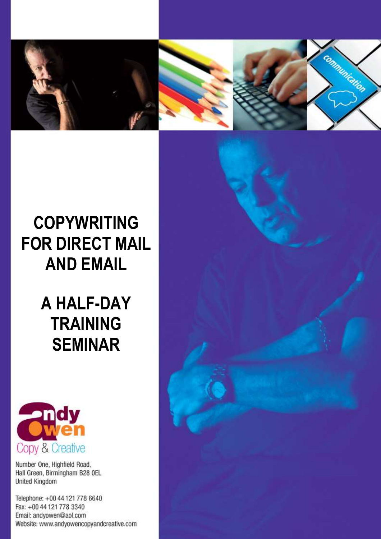

## **COPYWRITING FOR DIRECT MAIL AND EMAIL**

## **A HALF-DAY TRAINING SEMINAR**



Number One, Highfield Road, Hall Green, Birmingham B28 OEL United Kingdom

Telephone: +00 44 121 778 6640 Fax: +00 44 121 778 3340 Email: andyowen@aol.com Website: www.andyowencopyandcreative.com

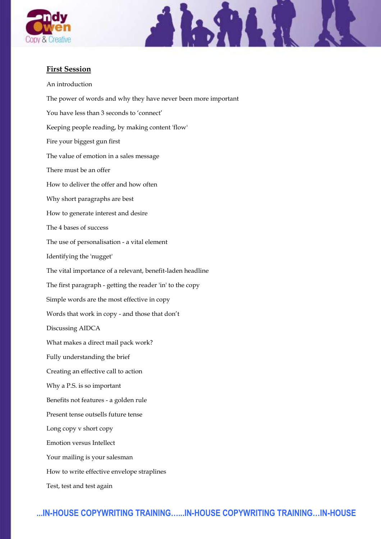



## **First Session**

An introduction The power of words and why they have never been more important You have less than 3 seconds to 'connect' Keeping people reading, by making content 'flow' Fire your biggest gun first The value of emotion in a sales message There must be an offer How to deliver the offer and how often Why short paragraphs are best How to generate interest and desire The 4 bases of success The use of personalisation - a vital element Identifying the 'nugget' The vital importance of a relevant, benefit-laden headline The first paragraph - getting the reader 'in' to the copy Simple words are the most effective in copy Words that work in copy - and those that don't Discussing AIDCA What makes a direct mail pack work? Fully understanding the brief Creating an effective call to action Why a P.S. is so important Benefits not features - a golden rule Present tense outsells future tense Long copy v short copy Emotion versus Intellect Your mailing is your salesman How to write effective envelope straplines Test, test and test again